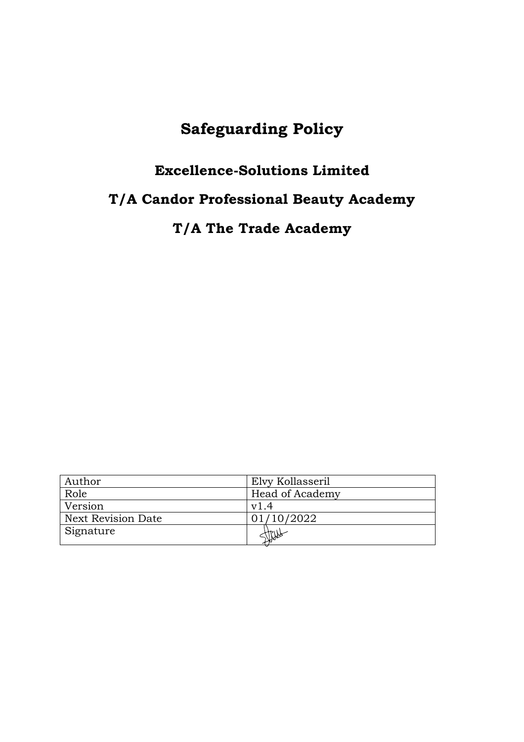# **Safeguarding Policy**

# **Excellence-Solutions Limited**

# **T/A Candor Professional Beauty Academy**

**T/A The Trade Academy**

| Author                    | Elvy Kollasseril |
|---------------------------|------------------|
| Role                      | Head of Academy  |
| Version                   | v1.4             |
| <b>Next Revision Date</b> | 01/10/2022       |
| Signature                 |                  |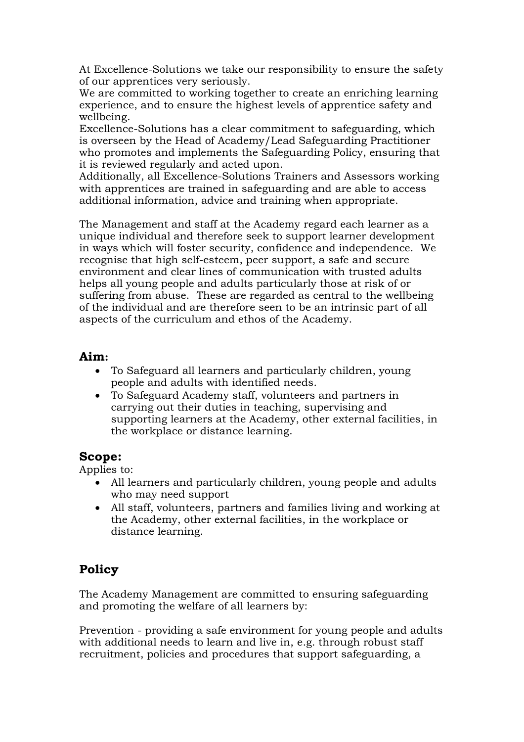At Excellence-Solutions we take our responsibility to ensure the safety of our apprentices very seriously.

We are committed to working together to create an enriching learning experience, and to ensure the highest levels of apprentice safety and wellbeing.

Excellence-Solutions has a clear commitment to safeguarding, which is overseen by the Head of Academy/Lead Safeguarding Practitioner who promotes and implements the Safeguarding Policy, ensuring that it is reviewed regularly and acted upon.

Additionally, all Excellence-Solutions Trainers and Assessors working with apprentices are trained in safeguarding and are able to access additional information, advice and training when appropriate.

The Management and staff at the Academy regard each learner as a unique individual and therefore seek to support learner development in ways which will foster security, confidence and independence. We recognise that high self-esteem, peer support, a safe and secure environment and clear lines of communication with trusted adults helps all young people and adults particularly those at risk of or suffering from abuse. These are regarded as central to the wellbeing of the individual and are therefore seen to be an intrinsic part of all aspects of the curriculum and ethos of the Academy.

### **Aim:**

- To Safeguard all learners and particularly children, young people and adults with identified needs.
- To Safeguard Academy staff, volunteers and partners in carrying out their duties in teaching, supervising and supporting learners at the Academy, other external facilities, in the workplace or distance learning.

### **Scope:**

Applies to:

- All learners and particularly children, young people and adults who may need support
- All staff, volunteers, partners and families living and working at the Academy, other external facilities, in the workplace or distance learning.

## **Policy**

The Academy Management are committed to ensuring safeguarding and promoting the welfare of all learners by:

Prevention - providing a safe environment for young people and adults with additional needs to learn and live in, e.g. through robust staff recruitment, policies and procedures that support safeguarding, a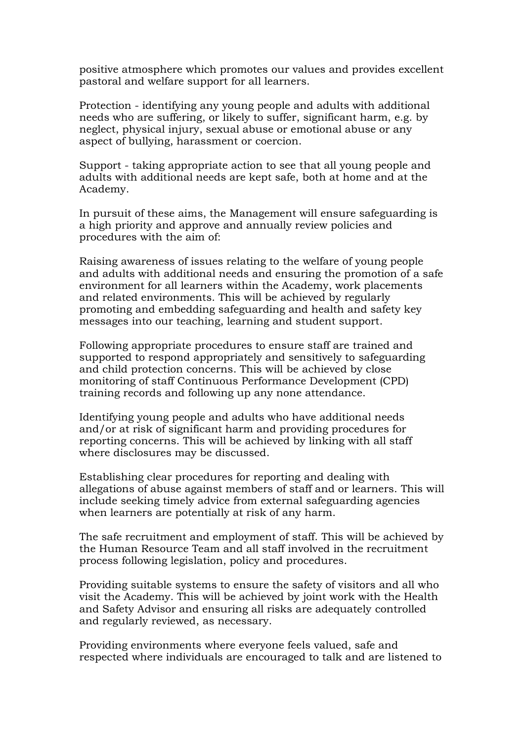positive atmosphere which promotes our values and provides excellent pastoral and welfare support for all learners.

Protection - identifying any young people and adults with additional needs who are suffering, or likely to suffer, significant harm, e.g. by neglect, physical injury, sexual abuse or emotional abuse or any aspect of bullying, harassment or coercion.

Support - taking appropriate action to see that all young people and adults with additional needs are kept safe, both at home and at the Academy.

In pursuit of these aims, the Management will ensure safeguarding is a high priority and approve and annually review policies and procedures with the aim of:

Raising awareness of issues relating to the welfare of young people and adults with additional needs and ensuring the promotion of a safe environment for all learners within the Academy, work placements and related environments. This will be achieved by regularly promoting and embedding safeguarding and health and safety key messages into our teaching, learning and student support.

Following appropriate procedures to ensure staff are trained and supported to respond appropriately and sensitively to safeguarding and child protection concerns. This will be achieved by close monitoring of staff Continuous Performance Development (CPD) training records and following up any none attendance.

Identifying young people and adults who have additional needs and/or at risk of significant harm and providing procedures for reporting concerns. This will be achieved by linking with all staff where disclosures may be discussed.

Establishing clear procedures for reporting and dealing with allegations of abuse against members of staff and or learners. This will include seeking timely advice from external safeguarding agencies when learners are potentially at risk of any harm.

The safe recruitment and employment of staff. This will be achieved by the Human Resource Team and all staff involved in the recruitment process following legislation, policy and procedures.

Providing suitable systems to ensure the safety of visitors and all who visit the Academy. This will be achieved by joint work with the Health and Safety Advisor and ensuring all risks are adequately controlled and regularly reviewed, as necessary.

Providing environments where everyone feels valued, safe and respected where individuals are encouraged to talk and are listened to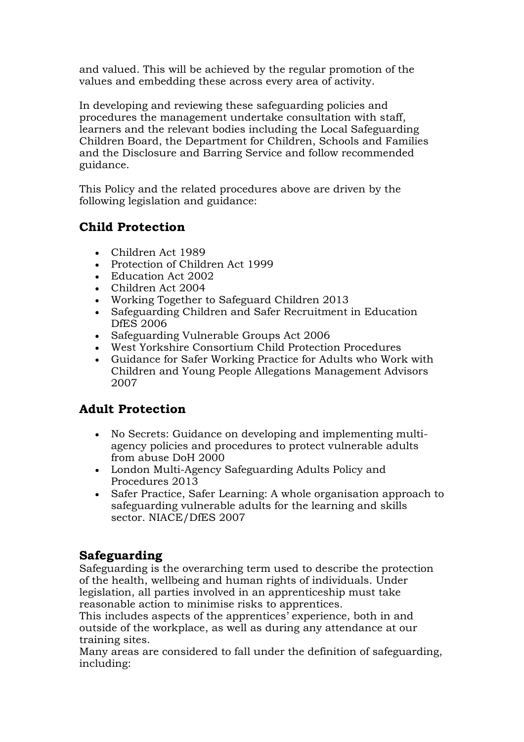and valued. This will be achieved by the regular promotion of the values and embedding these across every area of activity.

In developing and reviewing these safeguarding policies and procedures the management undertake consultation with staff, learners and the relevant bodies including the Local Safeguarding Children Board, the Department for Children, Schools and Families and the Disclosure and Barring Service and follow recommended guidance.

This Policy and the related procedures above are driven by the following legislation and guidance:

# **Child Protection**

- Children Act 1989
- Protection of Children Act 1999
- Education Act 2002
- Children Act 2004
- Working Together to Safeguard Children 2013
- Safeguarding Children and Safer Recruitment in Education DfES 2006
- Safeguarding Vulnerable Groups Act 2006
- West Yorkshire Consortium Child Protection Procedures
- Guidance for Safer Working Practice for Adults who Work with Children and Young People Allegations Management Advisors 2007

# **Adult Protection**

- No Secrets: Guidance on developing and implementing multiagency policies and procedures to protect vulnerable adults from abuse DoH 2000
- London Multi-Agency Safeguarding Adults Policy and Procedures 2013
- Safer Practice, Safer Learning: A whole organisation approach to safeguarding vulnerable adults for the learning and skills sector. NIACE/DfES 2007

# **Safeguarding**

Safeguarding is the overarching term used to describe the protection of the health, wellbeing and human rights of individuals. Under legislation, all parties involved in an apprenticeship must take reasonable action to minimise risks to apprentices.

This includes aspects of the apprentices' experience, both in and outside of the workplace, as well as during any attendance at our training sites.

Many areas are considered to fall under the definition of safeguarding, including: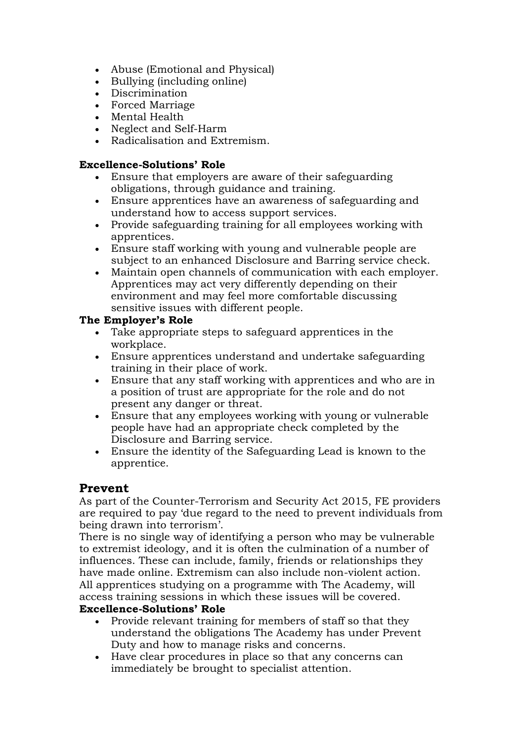- Abuse (Emotional and Physical)
- Bullying (including online)
- Discrimination
- Forced Marriage
- Mental Health
- Neglect and Self-Harm
- Radicalisation and Extremism.

#### **Excellence-Solutions' Role**

- Ensure that employers are aware of their safeguarding obligations, through guidance and training.
- Ensure apprentices have an awareness of safeguarding and understand how to access support services.
- Provide safeguarding training for all employees working with apprentices.
- Ensure staff working with young and vulnerable people are subject to an enhanced Disclosure and Barring service check.
- Maintain open channels of communication with each employer. Apprentices may act very differently depending on their environment and may feel more comfortable discussing sensitive issues with different people.

#### **The Employer's Role**

- Take appropriate steps to safeguard apprentices in the workplace.
- Ensure apprentices understand and undertake safeguarding training in their place of work.
- Ensure that any staff working with apprentices and who are in a position of trust are appropriate for the role and do not present any danger or threat.
- Ensure that any employees working with young or vulnerable people have had an appropriate check completed by the Disclosure and Barring service.
- Ensure the identity of the Safeguarding Lead is known to the apprentice.

### **Prevent**

As part of the Counter-Terrorism and Security Act 2015, FE providers are required to pay 'due regard to the need to prevent individuals from being drawn into terrorism'.

There is no single way of identifying a person who may be vulnerable to extremist ideology, and it is often the culmination of a number of influences. These can include, family, friends or relationships they have made online. Extremism can also include non-violent action. All apprentices studying on a programme with The Academy, will access training sessions in which these issues will be covered.

#### **Excellence-Solutions' Role**

- Provide relevant training for members of staff so that they understand the obligations The Academy has under Prevent Duty and how to manage risks and concerns.
- Have clear procedures in place so that any concerns can immediately be brought to specialist attention.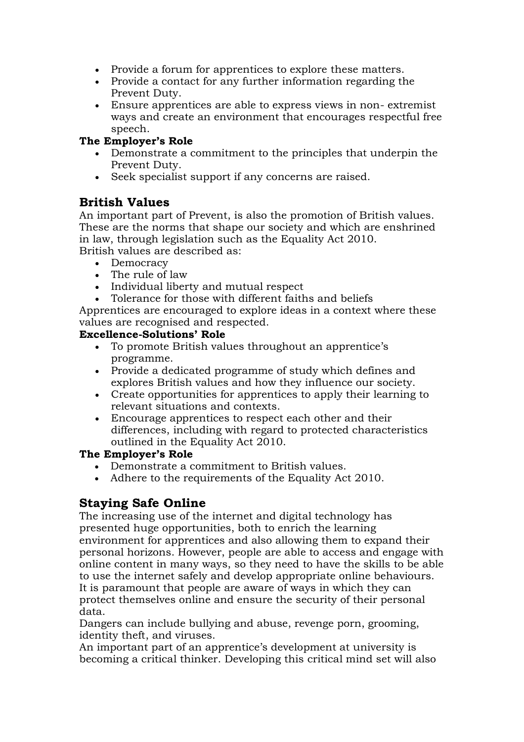- Provide a forum for apprentices to explore these matters.
- Provide a contact for any further information regarding the Prevent Duty.
- Ensure apprentices are able to express views in non- extremist ways and create an environment that encourages respectful free speech.

#### **The Employer's Role**

- Demonstrate a commitment to the principles that underpin the Prevent Duty.
- Seek specialist support if any concerns are raised.

## **British Values**

An important part of Prevent, is also the promotion of British values. These are the norms that shape our society and which are enshrined in law, through legislation such as the Equality Act 2010. British values are described as:

- Democracy
- The rule of law
- Individual liberty and mutual respect
- Tolerance for those with different faiths and beliefs

Apprentices are encouraged to explore ideas in a context where these values are recognised and respected.

#### **Excellence-Solutions' Role**

- To promote British values throughout an apprentice's programme.
- Provide a dedicated programme of study which defines and explores British values and how they influence our society.
- Create opportunities for apprentices to apply their learning to relevant situations and contexts.
- Encourage apprentices to respect each other and their differences, including with regard to protected characteristics outlined in the Equality Act 2010.

#### **The Employer's Role**

- Demonstrate a commitment to British values.
- Adhere to the requirements of the Equality Act 2010.

## **Staying Safe Online**

The increasing use of the internet and digital technology has presented huge opportunities, both to enrich the learning environment for apprentices and also allowing them to expand their personal horizons. However, people are able to access and engage with online content in many ways, so they need to have the skills to be able to use the internet safely and develop appropriate online behaviours. It is paramount that people are aware of ways in which they can protect themselves online and ensure the security of their personal data.

Dangers can include bullying and abuse, revenge porn, grooming, identity theft, and viruses.

An important part of an apprentice's development at university is becoming a critical thinker. Developing this critical mind set will also